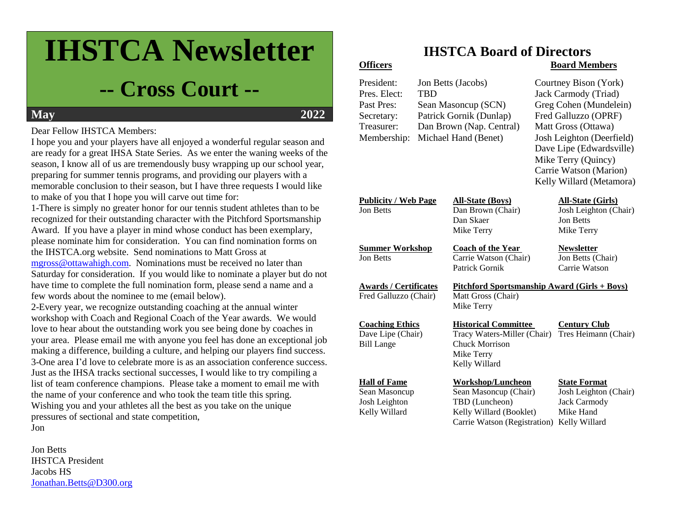# **IHSTCA Newsletter**

# **-- Cross Court --**

## **May 2022**

#### Dear Fellow IHSTCA Members:

I hope you and your players have all enjoyed a wonderful regular season and are ready for a great IHSA State Series. As we enter the waning weeks of the season, I know all of us are tremendously busy wrapping up our school year, preparing for summer tennis programs, and providing our players with a memorable conclusion to their season, but I have three requests I would like to make of you that I hope you will carve out time for:

1-There is simply no greater honor for our tennis student athletes than to be recognized for their outstanding character with the Pitchford Sportsmanship Award. If you have a player in mind whose conduct has been exemplary, please nominate him for consideration. You can find nomination forms on the IHSTCA.org website. Send nominations to Matt Gross at [mgross@ottawahigh.com.](mailto:mgross@ottawahigh.com) Nominations must be received no later than Saturday for consideration. If you would like to nominate a player but do not have time to complete the full nomination form, please send a name and a few words about the nominee to me (email below).

2-Every year, we recognize outstanding coaching at the annual winter workshop with Coach and Regional Coach of the Year awards. We would love to hear about the outstanding work you see being done by coaches in your area. Please email me with anyone you feel has done an exceptional job making a difference, building a culture, and helping our players find success. 3-One area I'd love to celebrate more is as an association conference success. Just as the IHSA tracks sectional successes, I would like to try compiling a list of team conference champions. Please take a moment to email me with the name of your conference and who took the team title this spring. Wishing you and your athletes all the best as you take on the unique pressures of sectional and state competition, Jon

Jon Betts IHSTCA President Jacobs HS [Jonathan.Betts@D300.org](mailto:Jonathan.Betts@D300.org)

# **IHSTCA Board of Directors**

#### **Officers Board Members**

| President:<br>Pres. Elect:<br>Past Pres:<br>Secretary:<br>Treasurer:<br>Membership: | <b>TBD</b> | Jon Betts (Jacobs)<br>Sean Masoncup (SCN)<br>Patrick Gornik (Dunlap)<br>Dan Brown (Nap. Central)<br>Michael Hand (Benet)       |  | Courtney Bison (York)<br>Jack Carmody (Triad)<br>Greg Cohen (Mundelein)<br>Fred Galluzzo (OPRF)<br>Matt Gross (Ottawa)<br>Josh Leighton (Deerfield)<br>Dave Lipe (Edwardsville)<br>Mike Terry (Quincy)<br>Carrie Watson (Marion)<br>Kelly Willard (Metamora) |
|-------------------------------------------------------------------------------------|------------|--------------------------------------------------------------------------------------------------------------------------------|--|--------------------------------------------------------------------------------------------------------------------------------------------------------------------------------------------------------------------------------------------------------------|
| <b>Publicity / Web Page</b><br><b>Jon Betts</b>                                     |            | <b>All-State (Boys)</b><br>Dan Brown (Chair)<br>Dan Skaer<br>Mike Terry                                                        |  | <b>All-State (Girls)</b><br>Josh Leighton (Chair)<br><b>Jon Betts</b><br>Mike Terry                                                                                                                                                                          |
| <b>Summer Workshop</b><br><b>Jon Betts</b>                                          |            | <b>Coach of the Year</b><br>Carrie Watson (Chair)<br>Patrick Gornik                                                            |  | <b>Newsletter</b><br>Jon Betts (Chair)<br>Carrie Watson                                                                                                                                                                                                      |
| <b>Awards / Certificates</b><br>Fred Galluzzo (Chair)                               |            | <u> Pitchford Sportsmanship Award (Girls + Boys)</u><br>Matt Gross (Chair)<br>Mike Terry                                       |  |                                                                                                                                                                                                                                                              |
| <b>Coaching Ethics</b><br>Dave Lipe (Chair)<br><b>Bill Lange</b>                    |            | <b>Historical Committee</b><br>Tracy Waters-Miller (Chair)<br><b>Chuck Morrison</b><br>Mike Terry<br>Kelly Willard             |  | <b>Century Club</b><br>Tres Heimann (Chair)                                                                                                                                                                                                                  |
| <b>Hall of Fame</b><br>Sean Masoncup<br>Josh Leighton<br>Kelly Willard              |            | <b>Workshop/Luncheon</b><br>Sean Masoncup (Chair)<br>TBD (Luncheon)<br>Kelly Willard (Booklet)<br>Carrie Watson (Registration) |  | <b>State Format</b><br>Josh Leighton (Chair)<br><b>Jack Carmody</b><br>Mike Hand<br>Kelly Willard                                                                                                                                                            |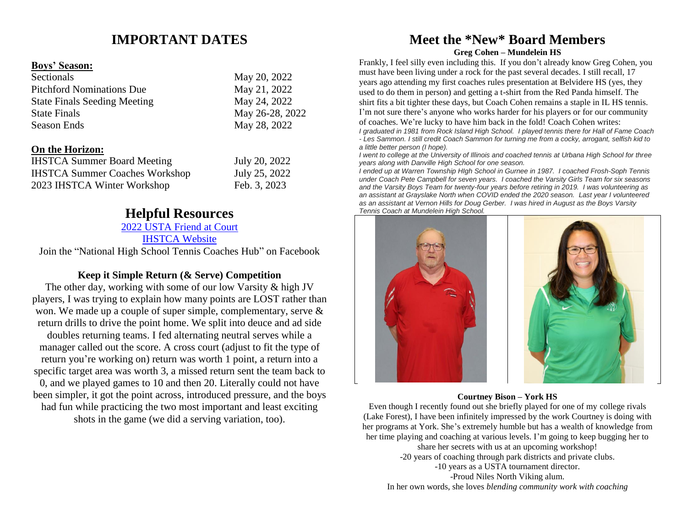### **IMPORTANT DATES**

#### **Boys' Season:**

| Sectionals                          | May 20, 2022    |
|-------------------------------------|-----------------|
| <b>Pitchford Nominations Due</b>    | May 21, 2022    |
| <b>State Finals Seeding Meeting</b> | May 24, 2022    |
| <b>State Finals</b>                 | May 26-28, 2022 |
| <b>Season Ends</b>                  | May 28, 2022    |

#### **On the Horizon:**

| <b>IHSTCA Summer Board Meeting</b>    | July 20, 2022 |
|---------------------------------------|---------------|
| <b>IHSTCA Summer Coaches Workshop</b> | July 25, 2022 |
| 2023 IHSTCA Winter Workshop           | Feb. 3, 2023  |

#### **Helpful Resources**

#### [2022 USTA Friend at Court](https://www.usta.com/content/dam/usta/2022-pdfs/2022%20Friend%20at%20Court.pdf)

[IHSTCA Website](http://www.ihstca.org/)

Join the "National High School Tennis Coaches Hub" on Facebook

#### **Keep it Simple Return (& Serve) Competition**

The other day, working with some of our low Varsity & high JV players, I was trying to explain how many points are LOST rather than won. We made up a couple of super simple, complementary, serve & return drills to drive the point home. We split into deuce and ad side doubles returning teams. I fed alternating neutral serves while a manager called out the score. A cross court (adjust to fit the type of return you're working on) return was worth 1 point, a return into a specific target area was worth 3, a missed return sent the team back to 0, and we played games to 10 and then 20. Literally could not have been simpler, it got the point across, introduced pressure, and the boys had fun while practicing the two most important and least exciting shots in the game (we did a serving variation, too).

#### **Meet the \*New\* Board Members Greg Cohen – Mundelein HS**

Frankly, I feel silly even including this. If you don't already know Greg Cohen, you must have been living under a rock for the past several decades. I still recall, 17 years ago attending my first coaches rules presentation at Belvidere HS (yes, they used to do them in person) and getting a t-shirt from the Red Panda himself. The shirt fits a bit tighter these days, but Coach Cohen remains a staple in IL HS tennis. I'm not sure there's anyone who works harder for his players or for our community of coaches. We're lucky to have him back in the fold! Coach Cohen writes:

*I graduated in 1981 from Rock Island High School. I played tennis there for Hall of Fame Coach - Les Sammon. I still credit Coach Sammon for turning me from a cocky, arrogant, selfish kid to a little better person (I hope).*

*I went to college at the University of Illinois and coached tennis at Urbana High School for three years along with Danville High School for one season.*

*I ended up at Warren Township HIgh School in Gurnee in 1987. I coached Frosh-Soph Tennis under Coach Pete Campbell for seven years. I coached the Varsity Girls Team for six seasons and the Varsity Boys Team for twenty-four years before retiring in 2019. I was volunteering as an assistant at Grayslake North when COVID ended the 2020 season. Last year I volunteered as an assistant at Vernon Hills for Doug Gerber. I was hired in August as the Boys Varsity Tennis Coach at Mundelein High School.*



#### **Courtney Bison – York HS**

Even though I recently found out she briefly played for one of my college rivals (Lake Forest), I have been infinitely impressed by the work Courtney is doing with her programs at York. She's extremely humble but has a wealth of knowledge from her time playing and coaching at various levels. I'm going to keep bugging her to

> share her secrets with us at an upcoming workshop! -20 years of coaching through park districts and private clubs.

-10 years as a USTA tournament director.

-Proud Niles North Viking alum.

In her own words, she loves *blending community work with coaching*